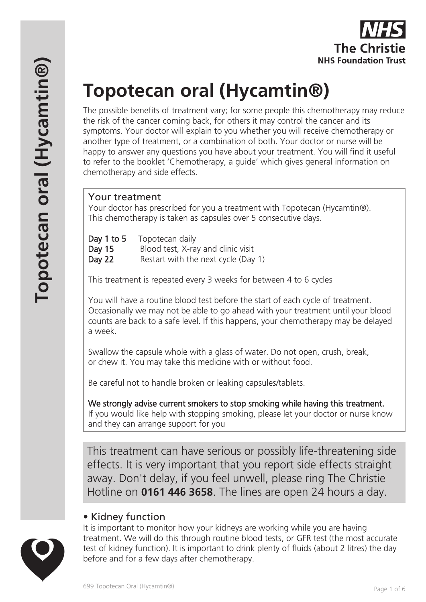# **Topotecan oral (Hycamtin®)**

The possible benefits of treatment vary; for some people this chemotherapy may reduce the risk of the cancer coming back, for others it may control the cancer and its symptoms. Your doctor will explain to you whether you will receive chemotherapy or another type of treatment, or a combination of both. Your doctor or nurse will be happy to answer any questions you have about your treatment. You will find it useful to refer to the booklet 'Chemotherapy, a guide' which gives general information on chemotherapy and side effects.

## Your treatment

Your doctor has prescribed for you a treatment with Topotecan (Hycamtin®). This chemotherapy is taken as capsules over 5 consecutive days.

| Day 1 to 5 | Topotecan daily                     |
|------------|-------------------------------------|
| Day 15     | Blood test, X-ray and clinic visit  |
| Day 22     | Restart with the next cycle (Day 1) |

This treatment is repeated every 3 weeks for between 4 to 6 cycles

You will have a routine blood test before the start of each cycle of treatment. Occasionally we may not be able to go ahead with your treatment until your blood counts are back to a safe level. If this happens, your chemotherapy may be delayed a week.

Swallow the capsule whole with a glass of water. Do not open, crush, break, or chew it. You may take this medicine with or without food.

Be careful not to handle broken or leaking capsules/tablets.

We strongly advise current smokers to stop smoking while having this treatment. If you would like help with stopping smoking, please let your doctor or nurse know and they can arrange support for you

This treatment can have serious or possibly life-threatening side effects. It is very important that you report side effects straight away. Don't delay, if you feel unwell, please ring The Christie Hotline on **0161 446 3658**. The lines are open 24 hours a day.

# • Kidney function

It is important to monitor how your kidneys are working while you are having treatment. We will do this through routine blood tests, or GFR test (the most accurate test of kidney function). It is important to drink plenty of fluids (about 2 litres) the day before and for a few days after chemotherapy.

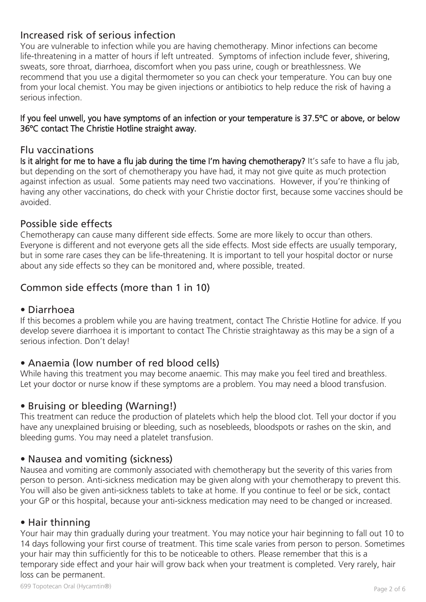## Increased risk of serious infection

You are vulnerable to infection while you are having chemotherapy. Minor infections can become life-threatening in a matter of hours if left untreated. Symptoms of infection include fever, shivering, sweats, sore throat, diarrhoea, discomfort when you pass urine, cough or breathlessness. We recommend that you use a digital thermometer so you can check your temperature. You can buy one from your local chemist. You may be given injections or antibiotics to help reduce the risk of having a serious infection.

#### If you feel unwell, you have symptoms of an infection or your temperature is 37.5ºC or above, or below 36ºC contact The Christie Hotline straight away.

#### Flu vaccinations

Is it alright for me to have a flu jab during the time I'm having chemotherapy? It's safe to have a flu jab, but depending on the sort of chemotherapy you have had, it may not give quite as much protection against infection as usual. Some patients may need two vaccinations. However, if you're thinking of having any other vaccinations, do check with your Christie doctor first, because some vaccines should be avoided.

#### Possible side effects

Chemotherapy can cause many different side effects. Some are more likely to occur than others. Everyone is different and not everyone gets all the side effects. Most side effects are usually temporary, but in some rare cases they can be life-threatening. It is important to tell your hospital doctor or nurse about any side effects so they can be monitored and, where possible, treated.

# Common side effects (more than 1 in 10)

#### • Diarrhoea

If this becomes a problem while you are having treatment, contact The Christie Hotline for advice. If you develop severe diarrhoea it is important to contact The Christie straightaway as this may be a sign of a serious infection. Don't delay!

## • Anaemia (low number of red blood cells)

While having this treatment you may become anaemic. This may make you feel tired and breathless. Let your doctor or nurse know if these symptoms are a problem. You may need a blood transfusion.

#### • Bruising or bleeding (Warning!)

This treatment can reduce the production of platelets which help the blood clot. Tell your doctor if you have any unexplained bruising or bleeding, such as nosebleeds, bloodspots or rashes on the skin, and bleeding gums. You may need a platelet transfusion.

#### • Nausea and vomiting (sickness)

Nausea and vomiting are commonly associated with chemotherapy but the severity of this varies from person to person. Anti-sickness medication may be given along with your chemotherapy to prevent this. You will also be given anti-sickness tablets to take at home. If you continue to feel or be sick, contact your GP or this hospital, because your anti-sickness medication may need to be changed or increased.

## • Hair thinning

Your hair may thin gradually during your treatment. You may notice your hair beginning to fall out 10 to 14 days following your first course of treatment. This time scale varies from person to person. Sometimes your hair may thin sufficiently for this to be noticeable to others. Please remember that this is a temporary side effect and your hair will grow back when your treatment is completed. Very rarely, hair loss can be permanent.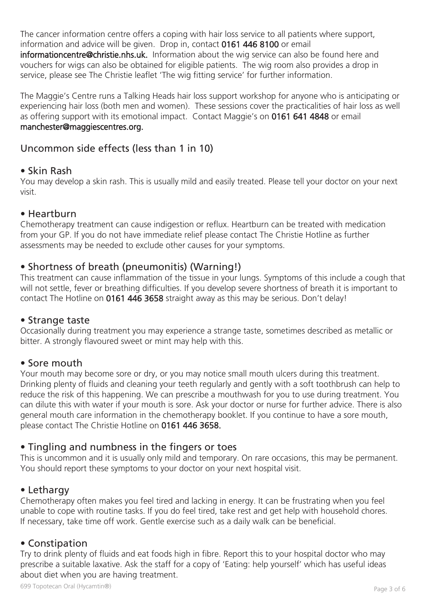The cancer information centre offers a coping with hair loss service to all patients where support, information and advice will be given. Drop in, contact 0161 446 8100 or email informationcentre@christie.nhs.uk. Information about the wig service can also be found here and vouchers for wigs can also be obtained for eligible patients. The wig room also provides a drop in service, please see The Christie leaflet 'The wig fitting service' for further information.

The Maggie's Centre runs a Talking Heads hair loss support workshop for anyone who is anticipating or experiencing hair loss (both men and women). These sessions cover the practicalities of hair loss as well as offering support with its emotional impact. Contact Maggie's on 0161 641 4848 or email manchester@maggiescentres.org.

## Uncommon side effects (less than 1 in 10)

#### • Skin Rash

You may develop a skin rash. This is usually mild and easily treated. Please tell your doctor on your next visit.

#### • Heartburn

Chemotherapy treatment can cause indigestion or reflux. Heartburn can be treated with medication from your GP. If you do not have immediate relief please contact The Christie Hotline as further assessments may be needed to exclude other causes for your symptoms.

## • Shortness of breath (pneumonitis) (Warning!)

This treatment can cause inflammation of the tissue in your lungs. Symptoms of this include a cough that will not settle, fever or breathing difficulties. If you develop severe shortness of breath it is important to contact The Hotline on 0161 446 3658 straight away as this may be serious. Don't delay!

#### • Strange taste

Occasionally during treatment you may experience a strange taste, sometimes described as metallic or bitter. A strongly flavoured sweet or mint may help with this.

#### • Sore mouth

Your mouth may become sore or dry, or you may notice small mouth ulcers during this treatment. Drinking plenty of fluids and cleaning your teeth regularly and gently with a soft toothbrush can help to reduce the risk of this happening. We can prescribe a mouthwash for you to use during treatment. You can dilute this with water if your mouth is sore. Ask your doctor or nurse for further advice. There is also general mouth care information in the chemotherapy booklet. If you continue to have a sore mouth, please contact The Christie Hotline on 0161 446 3658.

## • Tingling and numbness in the fingers or toes

This is uncommon and it is usually only mild and temporary. On rare occasions, this may be permanent. You should report these symptoms to your doctor on your next hospital visit.

#### • Lethargy

Chemotherapy often makes you feel tired and lacking in energy. It can be frustrating when you feel unable to cope with routine tasks. If you do feel tired, take rest and get help with household chores. If necessary, take time off work. Gentle exercise such as a daily walk can be beneficial.

#### • Constipation

Try to drink plenty of fluids and eat foods high in fibre. Report this to your hospital doctor who may prescribe a suitable laxative. Ask the staff for a copy of 'Eating: help yourself' which has useful ideas about diet when you are having treatment.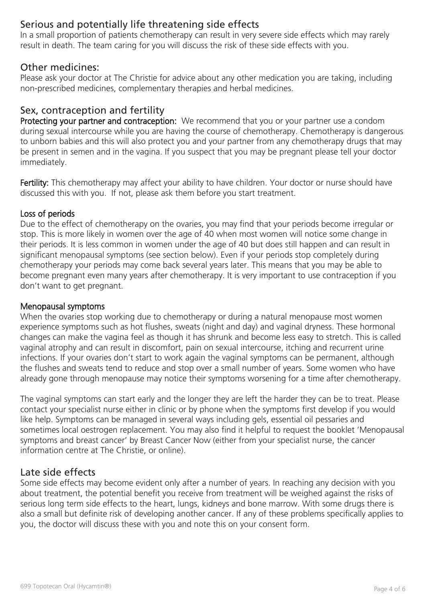# Serious and potentially life threatening side effects

In a small proportion of patients chemotherapy can result in very severe side effects which may rarely result in death. The team caring for you will discuss the risk of these side effects with you.

#### Other medicines:

Please ask your doctor at The Christie for advice about any other medication you are taking, including non-prescribed medicines, complementary therapies and herbal medicines.

### Sex, contraception and fertility

Protecting your partner and contraception: We recommend that you or your partner use a condom during sexual intercourse while you are having the course of chemotherapy. Chemotherapy is dangerous to unborn babies and this will also protect you and your partner from any chemotherapy drugs that may be present in semen and in the vagina. If you suspect that you may be pregnant please tell your doctor immediately.

Fertility: This chemotherapy may affect your ability to have children. Your doctor or nurse should have discussed this with you. If not, please ask them before you start treatment.

#### Loss of periods

Due to the effect of chemotherapy on the ovaries, you may find that your periods become irregular or stop. This is more likely in women over the age of 40 when most women will notice some change in their periods. It is less common in women under the age of 40 but does still happen and can result in significant menopausal symptoms (see section below). Even if your periods stop completely during chemotherapy your periods may come back several years later. This means that you may be able to become pregnant even many years after chemotherapy. It is very important to use contraception if you don't want to get pregnant.

#### Menopausal symptoms

When the ovaries stop working due to chemotherapy or during a natural menopause most women experience symptoms such as hot flushes, sweats (night and day) and vaginal dryness. These hormonal changes can make the vagina feel as though it has shrunk and become less easy to stretch. This is called vaginal atrophy and can result in discomfort, pain on sexual intercourse, itching and recurrent urine infections. If your ovaries don't start to work again the vaginal symptoms can be permanent, although the flushes and sweats tend to reduce and stop over a small number of years. Some women who have already gone through menopause may notice their symptoms worsening for a time after chemotherapy.

The vaginal symptoms can start early and the longer they are left the harder they can be to treat. Please contact your specialist nurse either in clinic or by phone when the symptoms first develop if you would like help. Symptoms can be managed in several ways including gels, essential oil pessaries and sometimes local oestrogen replacement. You may also find it helpful to request the booklet 'Menopausal symptoms and breast cancer' by Breast Cancer Now (either from your specialist nurse, the cancer information centre at The Christie, or online).

#### Late side effects

Some side effects may become evident only after a number of years. In reaching any decision with you about treatment, the potential benefit you receive from treatment will be weighed against the risks of serious long term side effects to the heart, lungs, kidneys and bone marrow. With some drugs there is also a small but definite risk of developing another cancer. If any of these problems specifically applies to you, the doctor will discuss these with you and note this on your consent form.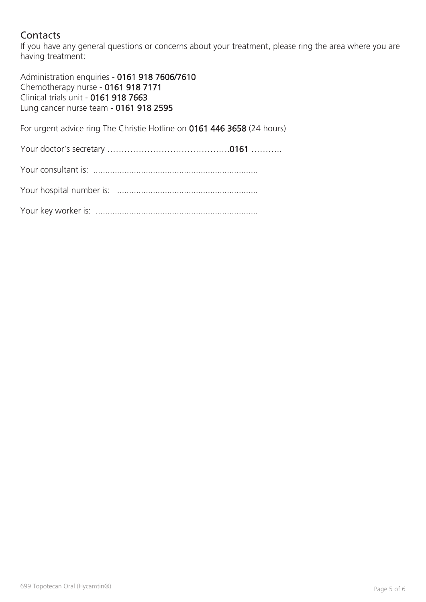# **Contacts**

If you have any general questions or concerns about your treatment, please ring the area where you are having treatment:

Administration enquiries - 0161 918 7606/7610 Chemotherapy nurse - 0161 918 7171 Clinical trials unit - 0161 918 7663 Lung cancer nurse team - 0161 918 2595

For urgent advice ring The Christie Hotline on 0161 446 3658 (24 hours)

Your doctor's secretary …………………………………….0161 ………..

Your hospital number is: ...........................................................

Your key worker is: ....................................................................